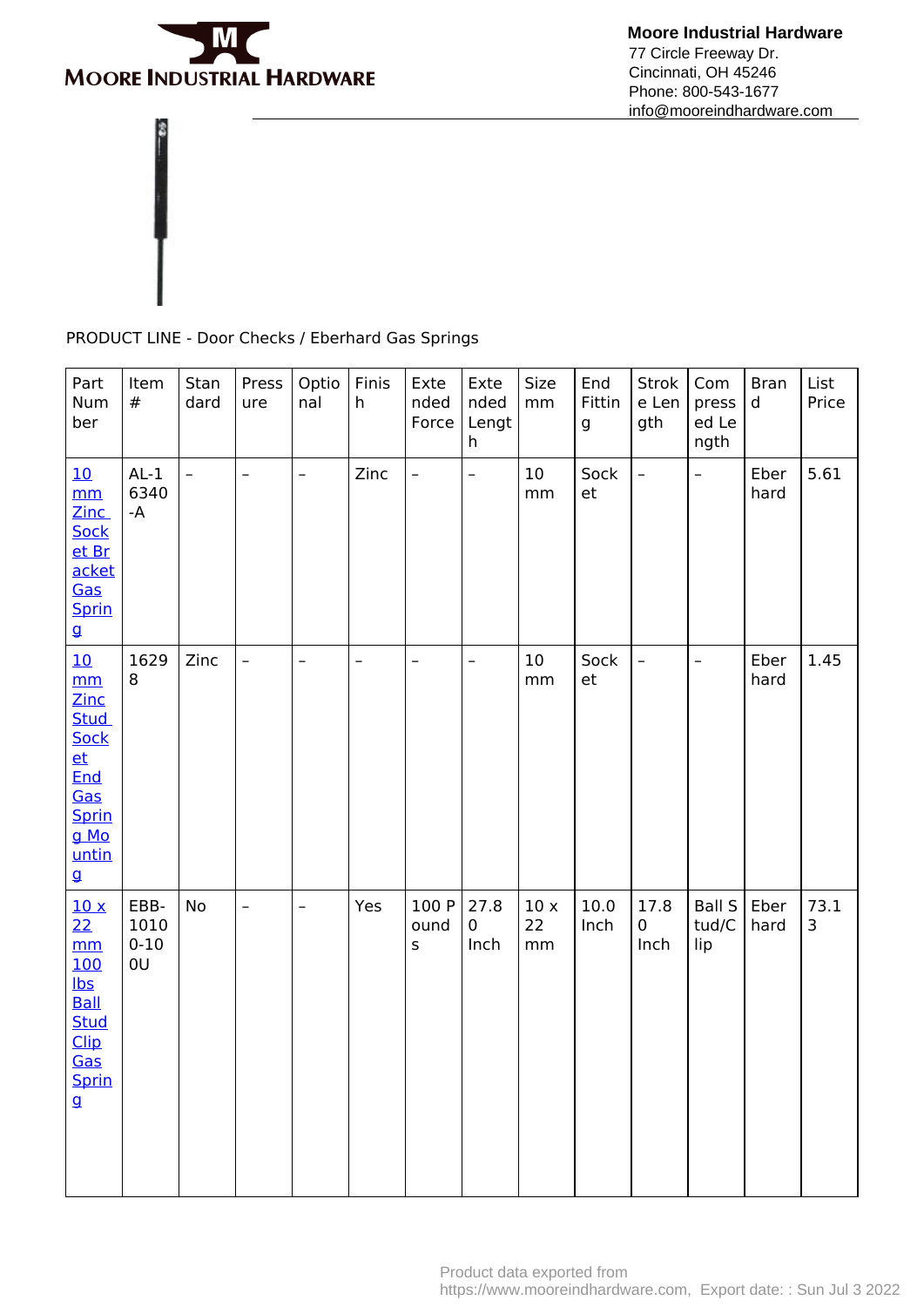

**Moore Industrial Hardware** 77 Circle Freeway Dr. Cincinnati, OH 45246 Phone: 800-543-1677 info@mooreindhardware.com

PRODUCT LINE - Door Checks / Eberhard Gas Springs

| Part<br>Num<br>ber                                                                                                      | Item<br>$\#$                   | Stan<br>dard             | Press<br>ure             | Optio<br>nal             | Finis<br>h     | Exte<br>nded<br>Force    | Exte<br>nded<br>Lengt<br>h | Size<br>mm      | End<br>Fittin<br>g | Strok<br>e Len<br>gth    | Com<br>press<br>ed Le<br>ngth | <b>Bran</b><br>d | List<br>Price |
|-------------------------------------------------------------------------------------------------------------------------|--------------------------------|--------------------------|--------------------------|--------------------------|----------------|--------------------------|----------------------------|-----------------|--------------------|--------------------------|-------------------------------|------------------|---------------|
| 10<br>mm<br><b>Zinc</b><br><b>Sock</b><br>et Br<br>acket<br>Gas<br><b>Sprin</b><br>$\mathbf{g}$                         | $AL-1$<br>6340<br>-A           | $\overline{\phantom{0}}$ | $\equiv$                 | $\overline{\phantom{0}}$ | Zinc           | $\equiv$                 | $\overline{a}$             | 10<br>mm        | Sock<br>et         | $\frac{1}{2}$            | $\frac{1}{2}$                 | Eber<br>hard     | 5.61          |
| 10<br>mm<br>Zinc<br><b>Stud</b><br><b>Sock</b><br>et<br><b>End</b><br>Gas<br>Sprin<br>g Mo<br>untin<br>$\mathbf{g}$     | 1629<br>8                      | Zinc                     | $\overline{\phantom{0}}$ | $\overline{\phantom{0}}$ | $\overline{a}$ | $\overline{\phantom{0}}$ | $\overline{\phantom{0}}$   | 10<br>mm        | Sock<br>et         | $\overline{\phantom{0}}$ | $\overline{a}$                | Eber<br>hard     | 1.45          |
| 10x<br>22<br>mm<br>100<br>$lbs$<br><b>Ball</b><br><b>Stud</b><br><b>Clip</b><br>Gas<br>Sprin<br>$\overline{\mathbf{g}}$ | EBB-<br>1010<br>$0 - 10$<br>0U | No                       | $\overline{\phantom{a}}$ | —                        | Yes            | 100 P<br>ound<br>$\sf S$ | 27.8<br>0<br>Inch          | 10x<br>22<br>mm | 10.0<br>Inch       | 17.8<br>0<br>Inch        | Ball S<br>tud/C<br>lip        | Eber<br>hard     | 73.1<br>3     |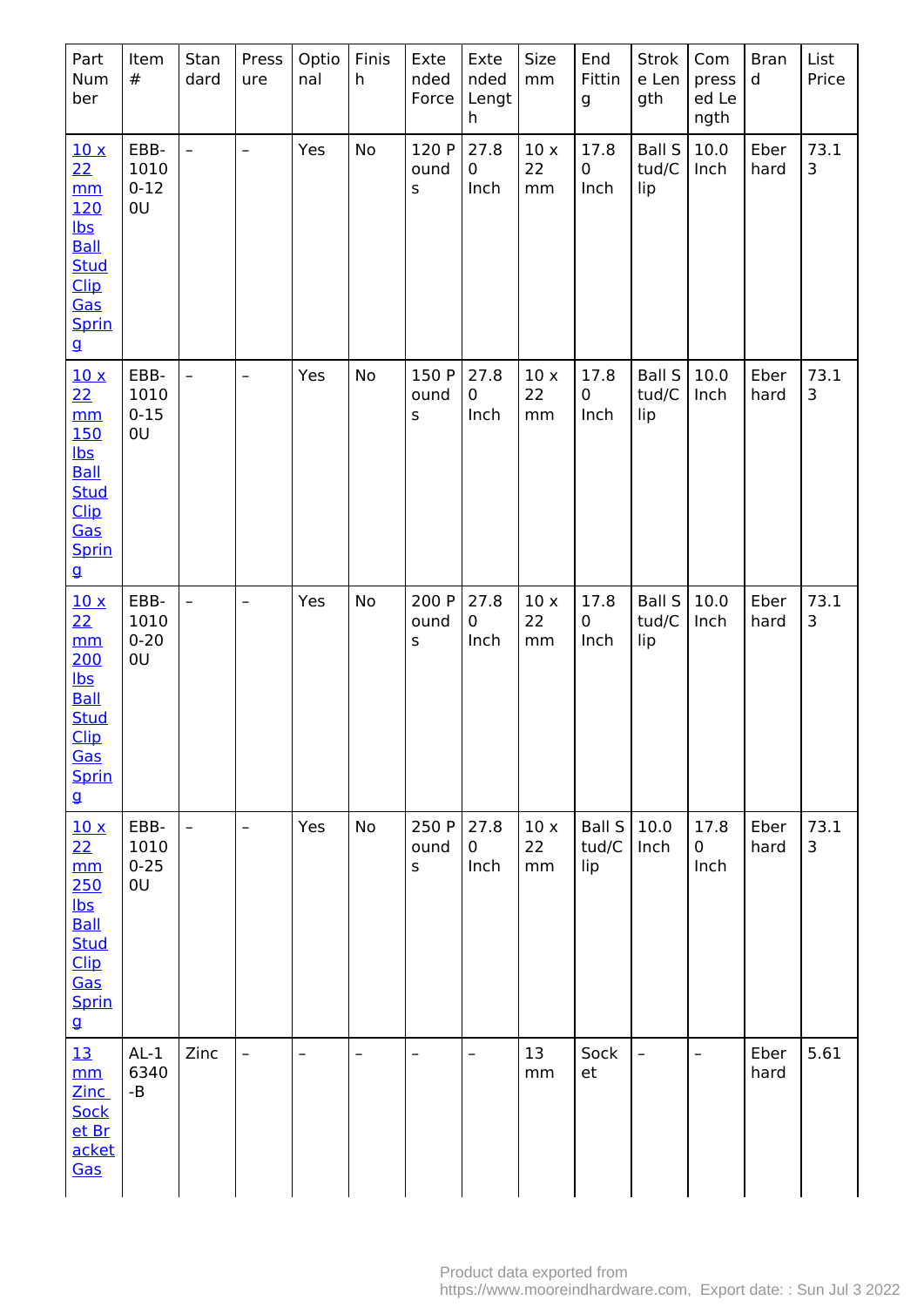| Part<br>Num<br>ber                                                                                                           | Item<br>$\#$                   | Stan<br>dard             | Press<br>ure             | Optio<br>nal      | Finis<br>h        | Exte<br>nded<br>Force    | Exte<br>nded<br>Lengt<br>h | Size<br>mm       | End<br>Fittin<br>g            | Strok<br>e Len<br>gth         | Com<br>press<br>ed Le<br>ngth | <b>Bran</b><br>d | List<br>Price |
|------------------------------------------------------------------------------------------------------------------------------|--------------------------------|--------------------------|--------------------------|-------------------|-------------------|--------------------------|----------------------------|------------------|-------------------------------|-------------------------------|-------------------------------|------------------|---------------|
| 10x<br>22<br>mm<br>120<br>$\mathsf{lbs}$<br><b>Ball</b><br><b>Stud</b><br>Clip<br>Gas<br><b>Sprin</b><br>g                   | EBB-<br>1010<br>$0 - 12$<br>0U | $\overline{\phantom{a}}$ | $\overline{\phantom{a}}$ | Yes               | No                | 120 P<br>ound<br>S       | 27.8<br>0<br>Inch          | 10x<br>22<br>mm  | 17.8<br>$\mathbf 0$<br>Inch   | <b>Ball S</b><br>tud/C<br>lip | 10.0<br>Inch                  | Eber<br>hard     | 73.1<br>3     |
| 10x<br>22<br>mm<br><b>150</b><br>$\mathsf{lbs}$<br><b>Ball</b><br><b>Stud</b><br>Clip<br>Gas<br><b>Sprin</b><br>g            | EBB-<br>1010<br>$0 - 15$<br>0U | $\overline{\phantom{0}}$ | $\overline{\phantom{0}}$ | Yes               | No                | 150 P<br>ound<br>$\sf S$ | 27.8<br>$\pmb{0}$<br>Inch  | 10x<br>22<br>mm  | 17.8<br>$\pmb{0}$<br>Inch     | <b>Ball S</b><br>tud/C<br>lip | 10.0<br>Inch                  | Eber<br>hard     | 73.1<br>3     |
| 10x<br>22<br>mm<br>200<br>$\mathsf{lbs}$<br><b>Ball</b><br><b>Stud</b><br>Clip<br>Gas<br><b>Sprin</b><br>$\mathbf{g}$        | EBB-<br>1010<br>$0 - 20$<br>0U | $\qquad \qquad -$        | $\qquad \qquad -$        | Yes               | No                | 200 P<br>ound<br>S       | 27.8<br>$\pmb{0}$<br>Inch  | 10 x<br>22<br>mm | 17.8<br>$\mathbf 0$<br>Inch   | <b>Ball S</b><br>tud/C<br>lip | 10.0<br>Inch                  | Eber<br>hard     | 73.1<br>3     |
| 10x<br>22<br>mm<br>250<br>$\mathsf{lbs}$<br><b>Ball</b><br><b>Stud</b><br><b>Clip</b><br>Gas<br><b>Sprin</b><br>$\mathbf{g}$ | EBB-<br>1010<br>$0 - 25$<br>0U | $\overline{a}$           | $\qquad \qquad -$        | Yes               | No                | 250 P<br>ound<br>S       | 27.8<br>0<br>Inch          | 10x<br>22<br>mm  | <b>Ball S</b><br>tud/C<br>lip | 10.0<br>Inch                  | 17.8<br>0<br>Inch             | Eber<br>hard     | 73.1<br>3     |
| 13<br>mm<br>Zinc<br><b>Sock</b><br>et Br<br>acket<br>Gas                                                                     | $AL-1$<br>6340<br>$-B$         | Zinc                     | $\qquad \qquad -$        | $\qquad \qquad -$ | $\qquad \qquad -$ | $\qquad \qquad -$        | $\qquad \qquad -$          | 13<br>mm         | Sock<br>et                    | $\overline{\phantom{0}}$      | $\overline{\phantom{0}}$      | Eber<br>hard     | 5.61          |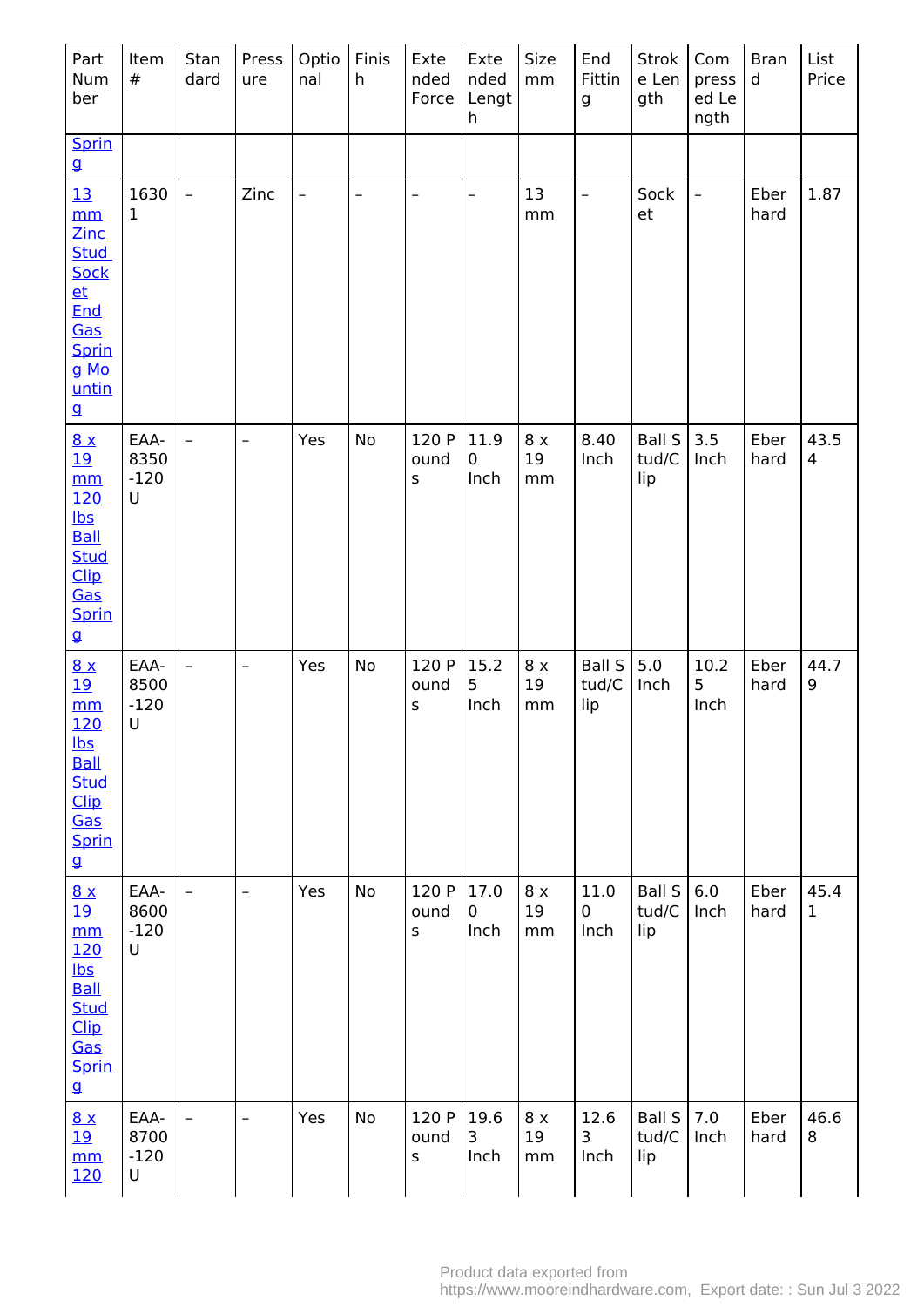| Part<br><b>Num</b><br>ber                                                                                                          | Item<br>$\#$                | Stan<br>dard             | Press<br>ure             | Optio<br>nal      | Finis<br>h        | Exte<br>nded<br>Force    | Exte<br>nded<br>Lengt<br>h  | Size<br>mm      | End<br>Fittin<br>g            | <b>Strok</b><br>e Len<br>gth  | Com<br>press<br>ed Le<br>ngth | <b>Bran</b><br>$\sf d$ | List<br>Price |
|------------------------------------------------------------------------------------------------------------------------------------|-----------------------------|--------------------------|--------------------------|-------------------|-------------------|--------------------------|-----------------------------|-----------------|-------------------------------|-------------------------------|-------------------------------|------------------------|---------------|
| Sprin<br>g                                                                                                                         |                             |                          |                          |                   |                   |                          |                             |                 |                               |                               |                               |                        |               |
| <b>13</b><br>mm<br>Zinc<br><b>Stud</b><br><b>Sock</b><br>et<br><b>End</b><br>Gas<br>Sprin<br>g Mo<br>untin<br>g                    | 1630<br>$\mathbf{1}$        | $\overline{\phantom{a}}$ | Zinc                     | $\qquad \qquad -$ | $\qquad \qquad -$ | $\overline{\phantom{0}}$ | $\overline{\phantom{0}}$    | 13<br>mm        | $\overline{\phantom{a}}$      | Sock<br>et                    | $\overline{\phantom{0}}$      | Eber<br>hard           | 1.87          |
| 8x<br><u> 19</u><br>mm<br>120<br>$\overline{\text{lbs}}$<br><b>Ball</b><br><b>Stud</b><br><b>Clip</b><br>Gas<br><b>Sprin</b><br>g  | EAA-<br>8350<br>$-120$<br>U | $\overline{\phantom{a}}$ | $\qquad \qquad -$        | Yes               | <b>No</b>         | 120 P<br>ound<br>S       | 11.9<br>$\mathbf 0$<br>Inch | 8 x<br>19<br>mm | 8.40<br>Inch                  | <b>Ball S</b><br>tud/C<br>lip | 3.5<br>Inch                   | Eber<br>hard           | 43.5<br>4     |
| 8x<br><u>19</u><br>mm<br>120<br><u>Ibs</u><br><b>Ball</b><br><b>Stud</b><br><b>Clip</b><br>Gas<br><b>Sprin</b><br>$\mathbf{g}$     | EAA-<br>8500<br>$-120$<br>U | $\overline{\phantom{a}}$ | $\overline{\phantom{0}}$ | Yes               | No                | 120 P<br>ound<br>S       | 15.2<br>5<br>Inch           | 8x<br>19<br>mm  | <b>Ball S</b><br>tud/C<br>lip | 5.0<br>Inch                   | 10.2<br>5<br>Inch             | Eber<br>hard           | 44.7<br>9     |
| 8x<br><u>19</u><br>mm<br>120<br>$\mathsf{lbs}$<br><b>Ball</b><br><b>Stud</b><br><b>Clip</b><br>Gas<br><b>Sprin</b><br>$\mathbf{g}$ | EAA-<br>8600<br>$-120$<br>U | $\overline{\phantom{a}}$ | $\qquad \qquad -$        | Yes               | No                | 120 P<br>ound<br>$\sf S$ | 17.0<br>$\pmb{0}$<br>Inch   | 8 x<br>19<br>mm | 11.0<br>$\mathbf 0$<br>Inch   | <b>Ball S</b><br>tud/C<br>lip | 6.0<br>Inch                   | Eber<br>hard           | 45.4<br>1     |
| 8x<br><u>19</u><br>mm<br><u>120</u>                                                                                                | EAA-<br>8700<br>$-120$<br>U | $\overline{\phantom{a}}$ | $\overline{\phantom{0}}$ | Yes               | No                | 120 P<br>ound<br>s       | 19.6<br>3<br>Inch           | 8 x<br>19<br>mm | 12.6<br>3<br>Inch             | <b>Ball S</b><br>tud/C<br>lip | 7.0<br>Inch                   | Eber<br>hard           | 46.6<br>8     |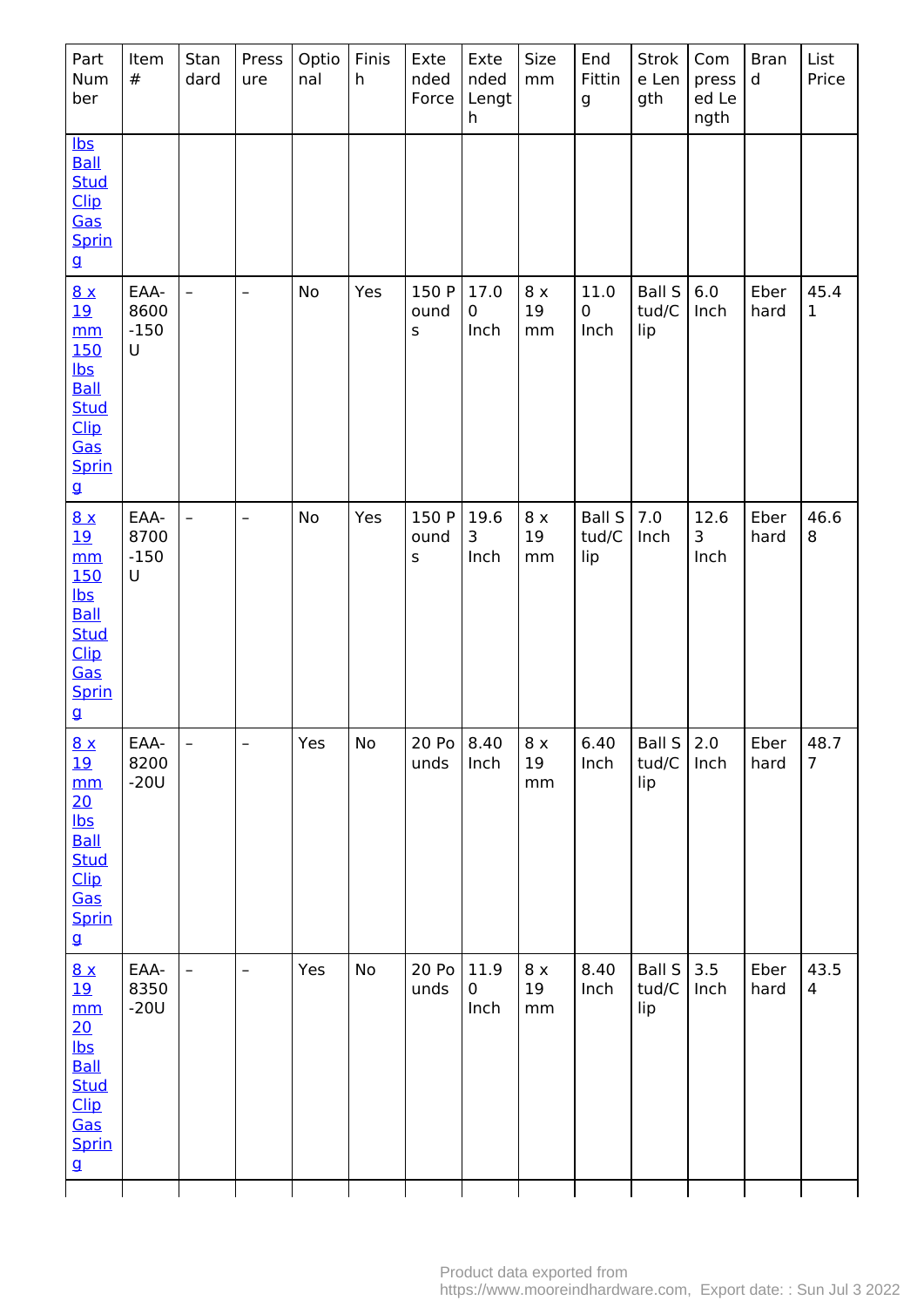| Part<br>Num<br>ber                                                                                                                          | Item<br>$\#$                | Stan<br>dard             | Press<br>ure             | Optio<br>nal | Finis<br>h | Exte<br>nded<br>Force    | Exte<br>nded<br>Lengt<br>h  | Size<br>mm      | End<br>Fittin<br>g            | Strok<br>e Len<br>gth              | Com<br>press<br>ed Le<br>ngth | <b>Bran</b><br>d | List<br>Price          |
|---------------------------------------------------------------------------------------------------------------------------------------------|-----------------------------|--------------------------|--------------------------|--------------|------------|--------------------------|-----------------------------|-----------------|-------------------------------|------------------------------------|-------------------------------|------------------|------------------------|
| $lbs$<br><b>Ball</b><br><b>Stud</b><br>$_{\text{Clip}}$<br>Gas<br>Sprin<br>g                                                                |                             |                          |                          |              |            |                          |                             |                 |                               |                                    |                               |                  |                        |
| 8x<br><u>19</u><br>mm<br>150<br>$\overline{\text{lbs}}$<br><b>Ball</b><br><b>Stud</b><br><b>Clip</b><br>Gas<br>Sprin<br>g                   | EAA-<br>8600<br>$-150$<br>U | $\overline{\phantom{a}}$ | $\overline{\phantom{0}}$ | No           | Yes        | 150 P<br>ound<br>$\sf S$ | 17.0<br>$\mathbf 0$<br>Inch | 8 x<br>19<br>mm | 11.0<br>$\mathbf 0$<br>Inch   | <b>Ball S</b><br>tud/C<br>lip      | 6.0<br>Inch                   | Eber<br>hard     | 45.4<br>$\mathbf 1$    |
| 8x<br><u> 19</u><br>mm<br>150<br>$\overline{\text{lbs}}$<br><b>Ball</b><br><b>Stud</b><br>Llip<br>Gas<br>Sprin<br>$\boldsymbol{\mathsf{g}}$ | EAA-<br>8700<br>$-150$<br>U | $\overline{\phantom{a}}$ | $\overline{\phantom{0}}$ | <b>No</b>    | Yes        | 150 P<br>ound<br>$\sf S$ | 19.6<br>3<br>Inch           | 8x<br>19<br>mm  | <b>Ball S</b><br>tud/C<br>lip | 7.0<br>Inch                        | 12.6<br>3<br>Inch             | Eber<br>hard     | 46.6<br>8              |
| 8x<br>19<br>mm<br>20<br>$\overline{\text{ls}}$<br><b>Ball</b><br><b>Stud</b><br><b>Clip</b><br>Gas<br>Sprin<br>g                            | EAA-<br>8200<br>$-20U$      |                          |                          | Yes          | No         | 20 Po $8.40$<br>unds     | Inch                        | 8x<br>19<br>mm  | 6.40<br>Inch                  | Ball S $\vert$ 2.0<br>tud/C<br>lip | Inch                          | Eber<br>hard     | 48.7<br>$\overline{7}$ |
| 8x<br><u> 19</u><br>mm<br>20 <sub>2</sub><br>$\mathsf{lbs}$<br><b>Ball</b><br><b>Stud</b><br><b>Clip</b><br>Gas<br><b>Sprin</b><br>g        | EAA-<br>8350<br>$-20U$      | $\overline{\phantom{a}}$ | $\qquad \qquad -$        | Yes          | No         | 20 Po<br>unds            | 11.9<br>$\mathbf 0$<br>Inch | 8 x<br>19<br>mm | 8.40<br>Inch                  | Ball $S$ 3.5<br>tud/C<br>lip       | Inch                          | Eber<br>hard     | 43.5<br>4              |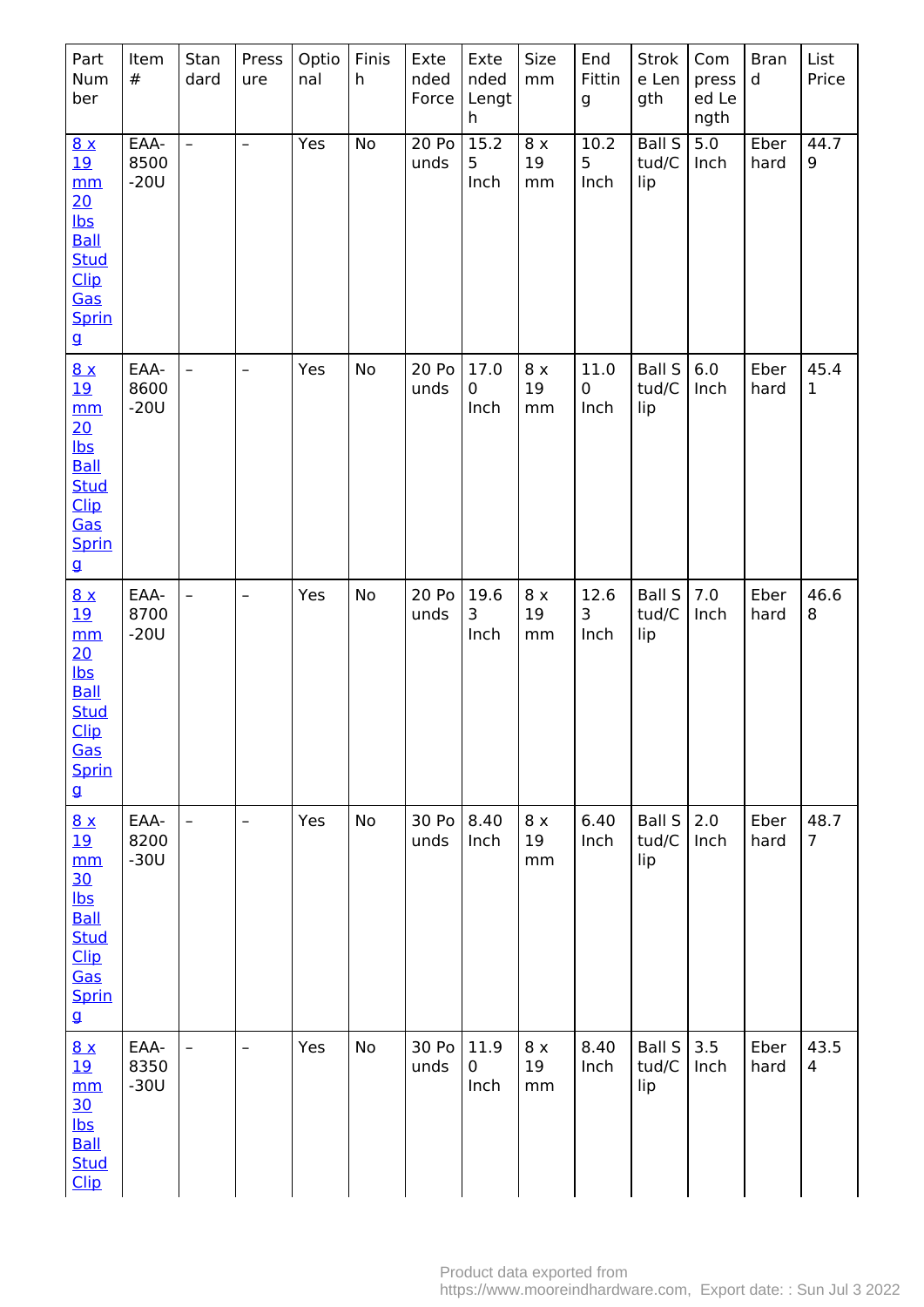| Part<br>Num<br>ber                                                                                              | Item<br>$\#$           | Stan<br>dard             | Press<br>ure             | Optio<br>nal | Finis<br>h | Exte<br>nded<br>Force    | Exte<br>nded<br>Lengt<br>h | Size<br>mm      | End<br>Fittin<br>g          | Strok<br>e Len<br>gth         | Com<br>press<br>ed Le<br>ngth | <b>Bran</b><br>d | List<br>Price          |
|-----------------------------------------------------------------------------------------------------------------|------------------------|--------------------------|--------------------------|--------------|------------|--------------------------|----------------------------|-----------------|-----------------------------|-------------------------------|-------------------------------|------------------|------------------------|
| 8x<br><u>19</u><br>mm<br>20<br>$\mathsf{lbs}$<br><b>Ball</b><br><b>Stud</b><br>Clip<br>Gas<br><b>Sprin</b><br>g | EAA-<br>8500<br>$-20U$ | $\overline{a}$           | $\qquad \qquad -$        | <b>Yes</b>   | <b>No</b>  | 20P <sub>o</sub><br>unds | 15.2<br>5<br>Inch          | 8x<br>19<br>mm  | 10.2<br>5<br>Inch           | <b>Ball S</b><br>tud/C<br>lip | $\overline{5.0}$<br>Inch      | Eber<br>hard     | 44.7<br>9              |
| 8x<br>19<br>mm<br>20<br>$lbs$<br><b>Ball</b><br><b>Stud</b><br><b>Clip</b><br>Gas<br><b>Sprin</b><br>g          | EAA-<br>8600<br>$-20U$ | $\overline{\phantom{a}}$ | -                        | Yes          | No         | 20 Po<br>unds            | 17.0<br>0<br>Inch          | 8 x<br>19<br>mm | 11.0<br>$\mathbf 0$<br>Inch | <b>Ball S</b><br>tud/C<br>lip | 6.0<br>Inch                   | Eber<br>hard     | 45.4<br>$\mathbf{1}$   |
| 8x<br><u>19</u><br>mm<br>20<br>$lbs$<br><b>Ball</b><br><b>Stud</b><br><b>Clip</b><br>Gas<br><b>Sprin</b><br>g   | EAA-<br>8700<br>$-20U$ | $\overline{a}$           | $\overline{\phantom{0}}$ | Yes          | No         | 20 Po<br>unds            | 19.6<br>3<br>Inch          | 8x<br>19<br>mm  | 12.6<br>3<br>Inch           | <b>Ball S</b><br>tud/C<br>lip | 7.0<br>Inch                   | Eber<br>hard     | 46.6<br>8              |
| 8x<br><u>19</u><br>mm<br>30<br><u>lbs</u><br><b>Ball</b><br>Stud<br>Clip<br>Gas<br><b>Sprin</b><br>g            | EAA-<br>8200<br>$-30U$ | $\overline{a}$           | $\overline{\phantom{0}}$ | Yes          | No         | 30 Po<br>unds            | 8.40<br>Inch               | 8 x<br>19<br>mm | 6.40<br>Inch                | <b>Ball S</b><br>tud/C<br>lip | 2.0<br>Inch                   | Eber<br>hard     | 48.7<br>$\overline{7}$ |
| 8x<br><u> 19</u><br>$\rm mm$<br>30<br>$lbs$<br><b>Ball</b><br><b>Stud</b><br><b>Clip</b>                        | EAA-<br>8350<br>$-30U$ | $\overline{a}$           | $\overline{\phantom{0}}$ | Yes          | No         | 30 Po<br>unds            | 11.9<br>0<br>Inch          | 8 x<br>19<br>mm | 8.40<br>Inch                | <b>Ball S</b><br>tud/C<br>lip | 3.5<br>Inch                   | Eber<br>hard     | 43.5<br>4              |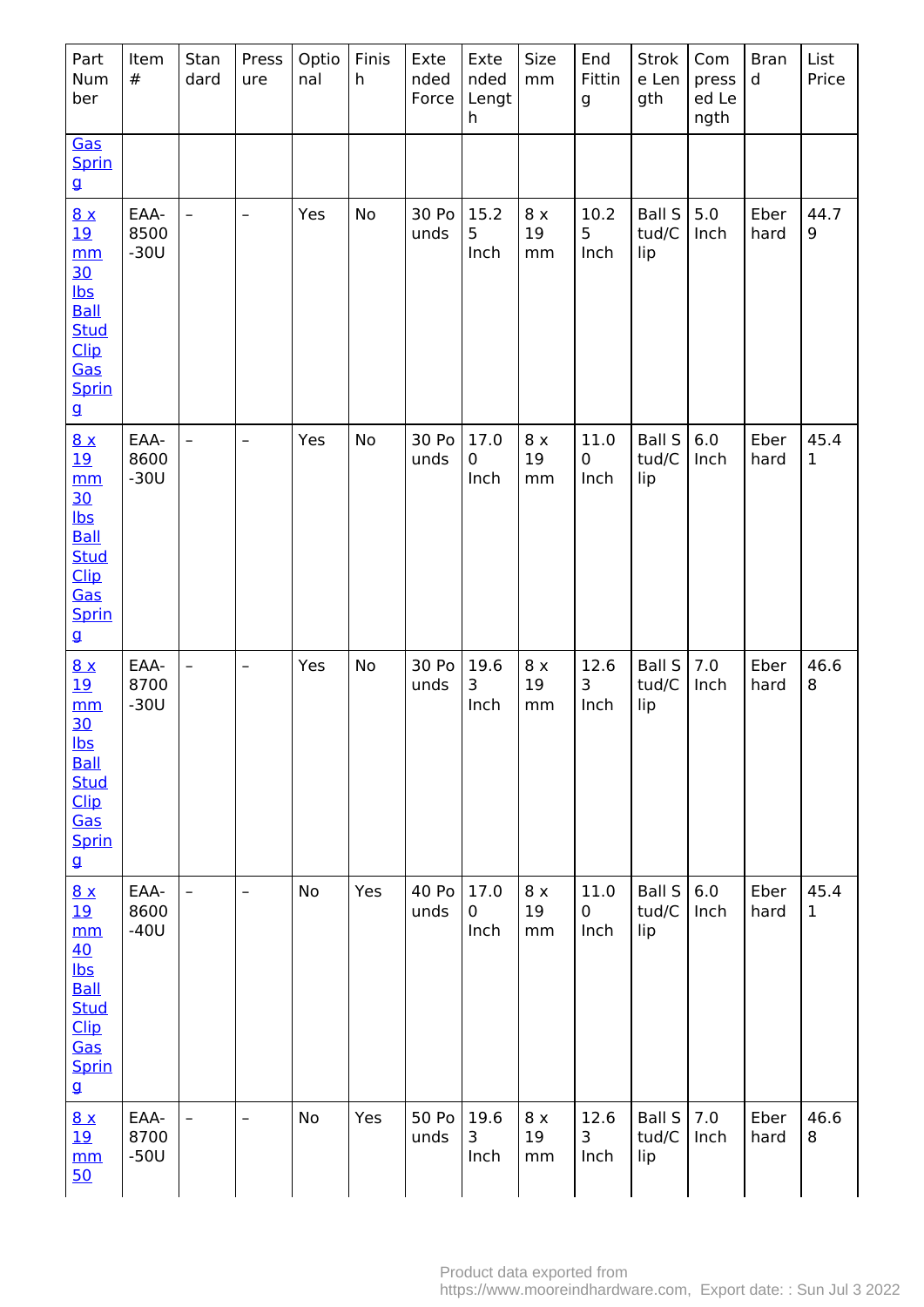| Part<br><b>Num</b><br>ber                                                                                                                 | Item<br>$\#$           | Stan<br>dard             | Press<br>ure             | Optio<br>nal | Finis<br>$\boldsymbol{\mathsf{h}}$ | Exte<br>nded<br>Force | Exte<br>nded<br>Lengt<br>h     | Size<br>mm      | End<br>Fittin<br>g          | <b>Strok</b><br>e Len<br>gth  | Com<br>press<br>ed Le<br>ngth | <b>Bran</b><br>$\sf d$ | List<br>Price       |
|-------------------------------------------------------------------------------------------------------------------------------------------|------------------------|--------------------------|--------------------------|--------------|------------------------------------|-----------------------|--------------------------------|-----------------|-----------------------------|-------------------------------|-------------------------------|------------------------|---------------------|
| Gas<br>Sprin<br>g                                                                                                                         |                        |                          |                          |              |                                    |                       |                                |                 |                             |                               |                               |                        |                     |
| 8x<br><u> 19</u><br>mm<br>30<br>$lbs$<br><b>Ball</b><br><b>Stud</b><br><b>Clip</b><br>Gas<br><b>Sprin</b><br>g                            | EAA-<br>8500<br>$-30U$ | $\equiv$                 | $\overline{\phantom{0}}$ | Yes          | No                                 | 30 Po<br>unds         | 15.2<br>5<br>Inch              | 8 x<br>19<br>mm | 10.2<br>5<br>Inch           | <b>Ball S</b><br>tud/C<br>lip | 5.0<br>Inch                   | Eber<br>hard           | 44.7<br>9           |
| 8x<br><u> 19</u><br>mm<br>30<br>$\mathsf{lbs}$<br><b>Ball</b><br><b>Stud</b><br><b>Clip</b><br>Gas<br><b>Sprin</b><br>g                   | EAA-<br>8600<br>$-30U$ | $\overline{\phantom{a}}$ | $\qquad \qquad -$        | Yes          | <b>No</b>                          | 30 Po<br>unds         | 17.0<br>$\overline{0}$<br>Inch | 8x<br>19<br>mm  | 11.0<br>$\mathbf 0$<br>Inch | <b>Ball S</b><br>tud/C<br>lip | 6.0<br>Inch                   | Eber<br>hard           | 45.4<br>$\mathbf 1$ |
| 8x<br><u> 19</u><br>mm<br><u>30</u><br>$\mathsf{lbs}$<br><b>Ball</b><br><b>Stud</b><br><b>Clip</b><br>Gas<br><b>Sprin</b><br>$\mathbf{g}$ | EAA-<br>8700<br>$-30U$ | $\overline{\phantom{a}}$ | $\overline{\phantom{0}}$ | Yes          | No                                 | 30 Po<br>unds         | 19.6<br>3<br>Inch              | 8 x<br>19<br>mm | 12.6<br>3<br>Inch           | <b>Ball S</b><br>tud/C<br>lip | 7.0<br>Inch                   | Eber<br>hard           | 46.6<br>8           |
| 8x<br><u>19</u><br>mm<br>40<br>$\mathsf{lbs}$<br><b>Ball</b><br><b>Stud</b><br><b>Clip</b><br>Gas<br><b>Sprin</b><br>$\mathbf{g}$         | EAA-<br>8600<br>$-40U$ | $\overline{\phantom{a}}$ | $\qquad \qquad -$        | No           | Yes                                | 40 Po<br>unds         | 17.0<br>$\pmb{0}$<br>Inch      | 8 x<br>19<br>mm | 11.0<br>$\pmb{0}$<br>Inch   | <b>Ball S</b><br>tud/C<br>lip | 6.0<br>Inch                   | Eber<br>hard           | 45.4<br>1           |
| <u>8 x</u><br><u>19</u><br>mm<br><u>50</u>                                                                                                | EAA-<br>8700<br>$-50U$ | $\overline{\phantom{a}}$ | $\overline{\phantom{0}}$ | No           | Yes                                | 50 Po<br>unds         | 19.6<br>3<br>Inch              | 8 x<br>19<br>mm | 12.6<br>3<br>Inch           | <b>Ball S</b><br>tud/C<br>lip | 7.0<br>Inch                   | Eber<br>hard           | 46.6<br>8           |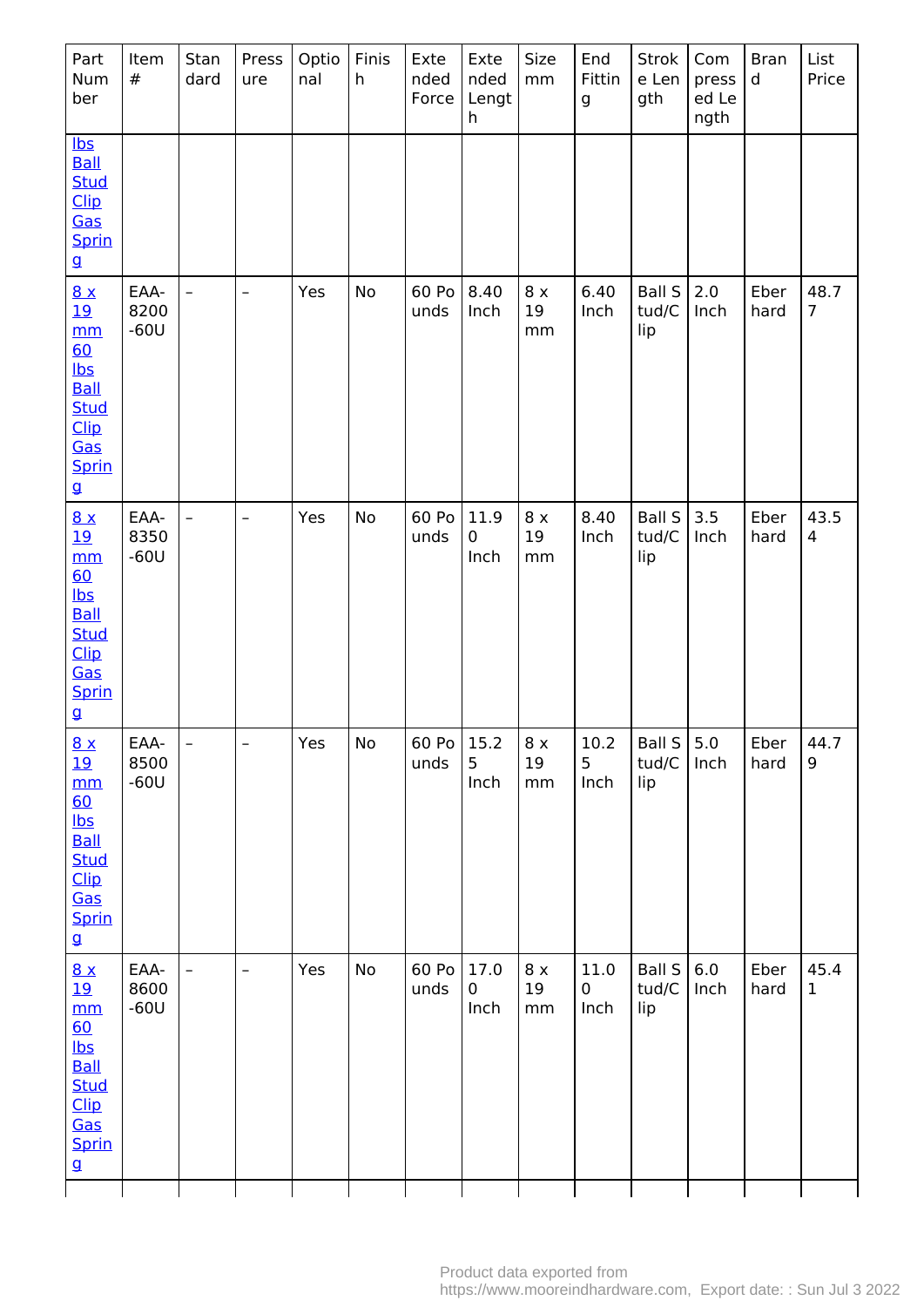| Part<br>Num<br>ber                                                                                                                          | Item<br>$\#$           | Stan<br>dard             | Press<br>ure             | Optio<br>nal | Finis<br>h | Exte<br>nded<br>Force | Exte<br>nded<br>Lengt<br>h  | Size<br>mm      | End<br>Fittin<br>g | Strok<br>e Len<br>gth          | Com<br>press<br>ed Le<br>ngth | <b>Bran</b><br>d | List<br>Price        |
|---------------------------------------------------------------------------------------------------------------------------------------------|------------------------|--------------------------|--------------------------|--------------|------------|-----------------------|-----------------------------|-----------------|--------------------|--------------------------------|-------------------------------|------------------|----------------------|
| $lbs$<br><b>Ball</b><br><b>Stud</b><br><b>Clip</b><br>Gas<br><b>Sprin</b><br>g                                                              |                        |                          |                          |              |            |                       |                             |                 |                    |                                |                               |                  |                      |
| 8x<br><u>19</u><br>mm<br>60<br>$\overline{\text{lbs}}$<br><b>Ball</b><br><b>Stud</b><br><b>Clip</b><br>Gas<br><b>Sprin</b><br>g             | EAA-<br>8200<br>$-60U$ | $\overline{\phantom{a}}$ | $\overline{\phantom{0}}$ | Yes          | No         | 60 Po<br>unds         | 8.40<br>Inch                | 8 x<br>19<br>mm | 6.40<br>Inch       | <b>Ball S</b><br>tud/C<br>lip  | 2.0<br>Inch                   | Eber<br>hard     | 48.7<br>7            |
| 8x<br><u> 19</u><br>mm<br>60<br>$\overline{\text{ls}}$<br><b>Ball</b><br>Stud<br>Llip<br>Gas<br><b>Sprin</b><br>$\boldsymbol{\mathsf{g}}$   | EAA-<br>8350<br>$-60U$ | $\overline{\phantom{a}}$ | $\overline{\phantom{0}}$ | Yes          | <b>No</b>  | 60 Po<br>unds         | 11.9<br>$\mathbf 0$<br>Inch | 8x<br>19<br>mm  | 8.40<br>Inch       | <b>Ball S</b><br>tud/C<br>lip  | 3.5<br>Inch                   | Eber<br>hard     | 43.5<br>4            |
| 8x<br>19<br>mm<br>60<br>$\overline{\text{lbs}}$<br><b>Ball</b><br><b>Stud</b><br><b>Clip</b><br>Gas<br><b>Sprin</b><br>g                    | EAA-<br>8500<br>$-60U$ |                          |                          | Yes          | No         | 60 Po<br>unds         | 15.2<br>5<br>Inch           | 8x<br>19<br>mm  | 10.2<br>5<br>Inch  | Ball S $ 5.0 $<br>tud/C<br>lip | Inch                          | Eber<br>hard     | 44.7<br>9            |
| 8x<br><u> 19</u><br>mm<br>60<br>$\overline{\text{lbs}}$<br><b>Ball</b><br><b>Stud</b><br><b>Clip</b><br>Gas<br><b>Sprin</b><br>$\mathbf{g}$ | EAA-<br>8600<br>$-60U$ | $\overline{\phantom{a}}$ | $\qquad \qquad -$        | Yes          | No         | 60 Po<br>unds         | 17.0<br>$\mathbf 0$<br>Inch | 8 x<br>19<br>mm | 11.0<br>0<br>Inch  | Ball S<br>tud/C<br>lip         | 6.0<br>Inch                   | Eber<br>hard     | 45.4<br>$\mathbf{1}$ |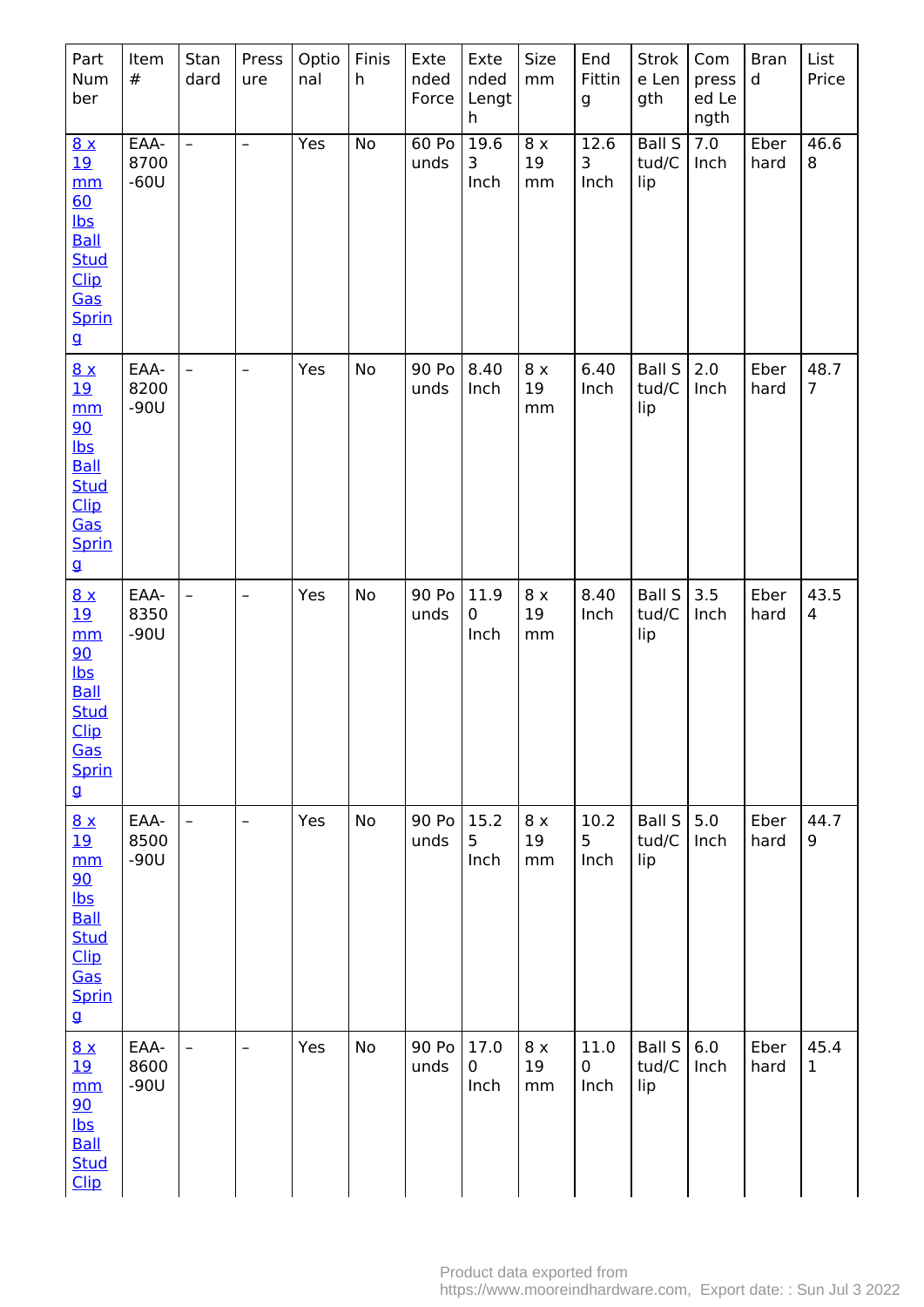| Part<br>Num<br>ber                                                                                                     | Item<br>$\#$           | Stan<br>dard             | Press<br>ure             | Optio<br>nal | Finis<br>h | Exte<br>nded<br>Force    | Exte<br>nded<br>Lengt<br>h | Size<br>mm      | End<br>Fittin<br>g          | Strok<br>e Len<br>gth         | Com<br>press<br>ed Le<br>ngth | <b>Bran</b><br>d | List<br>Price        |
|------------------------------------------------------------------------------------------------------------------------|------------------------|--------------------------|--------------------------|--------------|------------|--------------------------|----------------------------|-----------------|-----------------------------|-------------------------------|-------------------------------|------------------|----------------------|
| 8x<br><u>19</u><br>mm<br><u>60</u><br>$\mathsf{lbs}$<br><b>Ball</b><br><b>Stud</b><br>Clip<br>Gas<br><b>Sprin</b><br>g | EAA-<br>8700<br>$-60U$ | $\overline{a}$           | $\overline{\phantom{0}}$ | <b>Yes</b>   | <b>No</b>  | 60P <sub>o</sub><br>unds | 19.6<br>3<br>Inch          | 8x<br>19<br>mm  | 12.6<br>3<br>Inch           | <b>Ball S</b><br>tud/C<br>lip | 7.0<br>Inch                   | Eber<br>hard     | 46.6<br>8            |
| 8x<br>19<br>mm<br>90<br>$lbs$<br><b>Ball</b><br><b>Stud</b><br><b>Clip</b><br>Gas<br><b>Sprin</b><br>g                 | EAA-<br>8200<br>$-90U$ | $\overline{\phantom{a}}$ | -                        | Yes          | No         | 90 Po<br>unds            | 8.40<br>Inch               | 8 x<br>19<br>mm | 6.40<br>Inch                | <b>Ball S</b><br>tud/C<br>lip | 2.0<br>Inch                   | Eber<br>hard     | 48.7<br>7            |
| 8x<br><u>19</u><br>mm<br>90<br>$lbs$<br><b>Ball</b><br><b>Stud</b><br><b>Clip</b><br>Gas<br><b>Sprin</b><br>g          | EAA-<br>8350<br>$-90U$ | $\overline{a}$           | $\overline{\phantom{0}}$ | Yes          | No         | 90 Po<br>unds            | 11.9<br>0<br>Inch          | 8x<br>19<br>mm  | 8.40<br>Inch                | <b>Ball S</b><br>tud/C<br>lip | 3.5<br>Inch                   | Eber<br>hard     | 43.5<br>4            |
| 8x<br><u>19</u><br>mm<br>90<br>$\underline{\mathsf{lbs}}$<br><b>Ball</b><br>Stud<br>Clip<br>Gas<br><b>Sprin</b><br>g   | EAA-<br>8500<br>$-90U$ | $\overline{a}$           | $\overline{\phantom{0}}$ | Yes          | No         | 90 Po<br>unds            | 15.2<br>5<br>Inch          | 8x<br>19<br>mm  | 10.2<br>5<br>Inch           | <b>Ball S</b><br>tud/C<br>lip | 5.0<br>Inch                   | Eber<br>hard     | 44.7<br>9            |
| 8x<br><u> 19</u><br>mm<br>90<br>$lbs$<br><b>Ball</b><br><b>Stud</b><br><b>Clip</b>                                     | EAA-<br>8600<br>$-90U$ | $\overline{a}$           | $\overline{\phantom{0}}$ | Yes          | No         | 90 Po<br>unds            | 17.0<br>0<br>Inch          | 8 x<br>19<br>mm | 11.0<br>$\mathbf 0$<br>Inch | <b>Ball S</b><br>tud/C<br>lip | 6.0<br>Inch                   | Eber<br>hard     | 45.4<br>$\mathbf{1}$ |